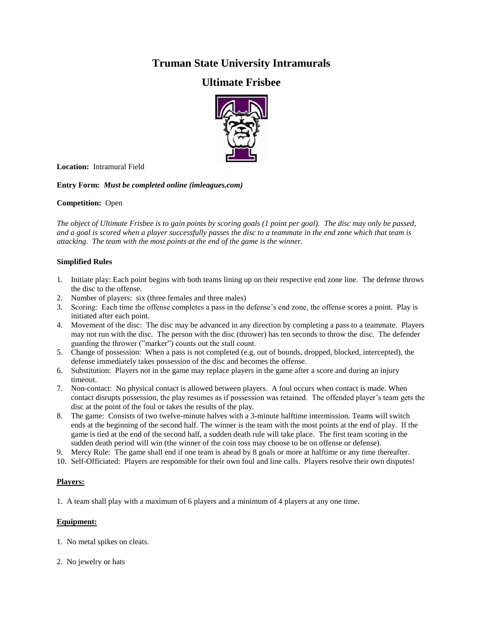# **Truman State University Intramurals**

## **Ultimate Frisbee**



**Location:** Intramural Field

**Entry Form:** *Must be completed online (imleagues.com)*

### **Competition:** Open

*The object of Ultimate Frisbee is to gain points by scoring goals (1 point per goal). The disc may only be passed, and a goal is scored when a player successfully passes the disc to a teammate in the end zone which that team is attacking. The team with the most points at the end of the game is the winner.*

### **Simplified Rules**

- 1. Initiate play: Each point begins with both teams lining up on their respective end zone line. The defense throws the disc to the offense.
- 2. Number of players: six (three females and three males)
- 3. Scoring: Each time the offense completes a pass in the defense's end zone, the offense scores a point. Play is initiated after each point.
- 4. Movement of the disc: The disc may be advanced in any direction by completing a pass to a teammate. Players may not run with the disc. The person with the disc (thrower) has ten seconds to throw the disc. The defender guarding the thrower ("marker") counts out the stall count.
- 5. Change of possession: When a pass is not completed (e.g. out of bounds, dropped, blocked, intercepted), the defense immediately takes possession of the disc and becomes the offense.
- 6. Substitution: Players not in the game may replace players in the game after a score and during an injury timeout.
- 7. Non-contact: No physical contact is allowed between players. A foul occurs when contact is made. When contact disrupts possession, the play resumes as if possession was retained. The offended player's team gets the disc at the point of the foul or takes the results of the play.
- 8. The game: Consists of two twelve-minute halves with a 3-minute halftime intermission. Teams will switch ends at the beginning of the second half. The winner is the team with the most points at the end of play. If the game is tied at the end of the second half, a sudden death rule will take place. The first team scoring in the sudden death period will win (the winner of the coin toss may choose to be on offense or defense).
- 9. Mercy Rule: The game shall end if one team is ahead by 8 goals or more at halftime or any time thereafter.
- 10. Self-Officiated: Players are responsible for their own foul and line calls. Players resolve their own disputes!

## **Players:**

1. A team shall play with a maximum of 6 players and a minimum of 4 players at any one time.

## **Equipment:**

- 1. No metal spikes on cleats.
- 2. No jewelry or hats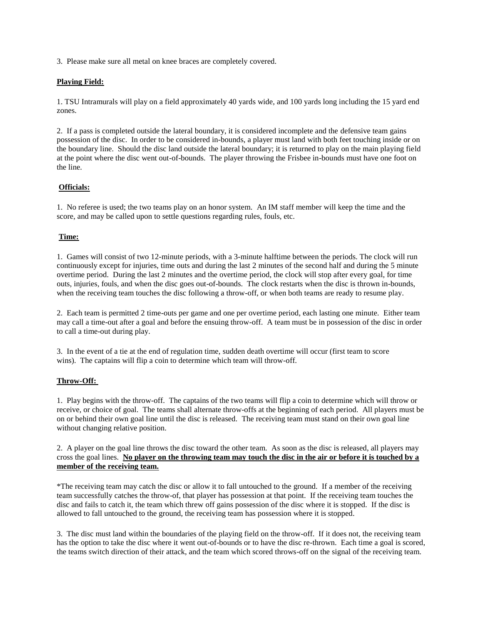3. Please make sure all metal on knee braces are completely covered.

## **Playing Field:**

1. TSU Intramurals will play on a field approximately 40 yards wide, and 100 yards long including the 15 yard end zones.

2. If a pass is completed outside the lateral boundary, it is considered incomplete and the defensive team gains possession of the disc. In order to be considered in-bounds, a player must land with both feet touching inside or on the boundary line. Should the disc land outside the lateral boundary; it is returned to play on the main playing field at the point where the disc went out-of-bounds. The player throwing the Frisbee in-bounds must have one foot on the line.

### **Officials:**

1. No referee is used; the two teams play on an honor system. An IM staff member will keep the time and the score, and may be called upon to settle questions regarding rules, fouls, etc.

### **Time:**

1. Games will consist of two 12-minute periods, with a 3-minute halftime between the periods. The clock will run continuously except for injuries, time outs and during the last 2 minutes of the second half and during the 5 minute overtime period. During the last 2 minutes and the overtime period, the clock will stop after every goal, for time outs, injuries, fouls, and when the disc goes out-of-bounds. The clock restarts when the disc is thrown in-bounds, when the receiving team touches the disc following a throw-off, or when both teams are ready to resume play.

2. Each team is permitted 2 time-outs per game and one per overtime period, each lasting one minute. Either team may call a time-out after a goal and before the ensuing throw-off. A team must be in possession of the disc in order to call a time-out during play.

3. In the event of a tie at the end of regulation time, sudden death overtime will occur (first team to score wins). The captains will flip a coin to determine which team will throw-off.

#### **Throw-Off:**

1. Play begins with the throw-off. The captains of the two teams will flip a coin to determine which will throw or receive, or choice of goal. The teams shall alternate throw-offs at the beginning of each period. All players must be on or behind their own goal line until the disc is released. The receiving team must stand on their own goal line without changing relative position.

2. A player on the goal line throws the disc toward the other team. As soon as the disc is released, all players may cross the goal lines. **No player on the throwing team may touch the disc in the air or before it is touched by a member of the receiving team.**

\*The receiving team may catch the disc or allow it to fall untouched to the ground. If a member of the receiving team successfully catches the throw-of, that player has possession at that point. If the receiving team touches the disc and fails to catch it, the team which threw off gains possession of the disc where it is stopped. If the disc is allowed to fall untouched to the ground, the receiving team has possession where it is stopped.

3. The disc must land within the boundaries of the playing field on the throw-off. If it does not, the receiving team has the option to take the disc where it went out-of-bounds or to have the disc re-thrown. Each time a goal is scored, the teams switch direction of their attack, and the team which scored throws-off on the signal of the receiving team.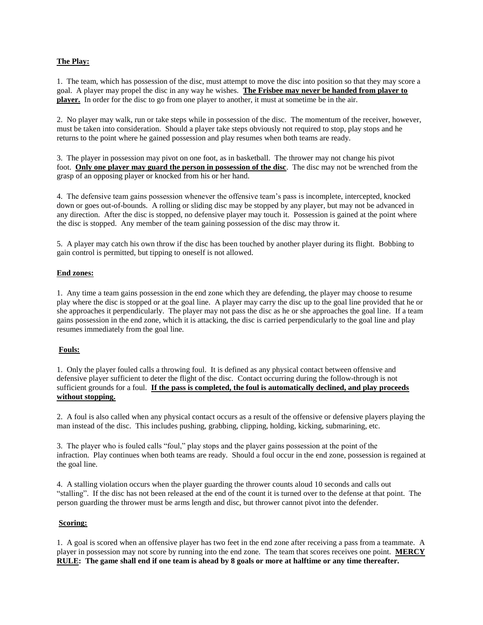### **The Play:**

1. The team, which has possession of the disc, must attempt to move the disc into position so that they may score a goal. A player may propel the disc in any way he wishes. **The Frisbee may never be handed from player to player.** In order for the disc to go from one player to another, it must at sometime be in the air.

2. No player may walk, run or take steps while in possession of the disc. The momentum of the receiver, however, must be taken into consideration. Should a player take steps obviously not required to stop, play stops and he returns to the point where he gained possession and play resumes when both teams are ready.

3. The player in possession may pivot on one foot, as in basketball. The thrower may not change his pivot foot. **Only one player may guard the person in possession of the disc**. The disc may not be wrenched from the grasp of an opposing player or knocked from his or her hand.

4. The defensive team gains possession whenever the offensive team's pass is incomplete, intercepted, knocked down or goes out-of-bounds. A rolling or sliding disc may be stopped by any player, but may not be advanced in any direction. After the disc is stopped, no defensive player may touch it. Possession is gained at the point where the disc is stopped. Any member of the team gaining possession of the disc may throw it.

5. A player may catch his own throw if the disc has been touched by another player during its flight. Bobbing to gain control is permitted, but tipping to oneself is not allowed.

### **End zones:**

1. Any time a team gains possession in the end zone which they are defending, the player may choose to resume play where the disc is stopped or at the goal line. A player may carry the disc up to the goal line provided that he or she approaches it perpendicularly. The player may not pass the disc as he or she approaches the goal line. If a team gains possession in the end zone, which it is attacking, the disc is carried perpendicularly to the goal line and play resumes immediately from the goal line.

## **Fouls:**

1. Only the player fouled calls a throwing foul. It is defined as any physical contact between offensive and defensive player sufficient to deter the flight of the disc. Contact occurring during the follow-through is not sufficient grounds for a foul. **If the pass is completed, the foul is automatically declined, and play proceeds without stopping.**

2. A foul is also called when any physical contact occurs as a result of the offensive or defensive players playing the man instead of the disc. This includes pushing, grabbing, clipping, holding, kicking, submarining, etc.

3. The player who is fouled calls "foul," play stops and the player gains possession at the point of the infraction. Play continues when both teams are ready. Should a foul occur in the end zone, possession is regained at the goal line.

4. A stalling violation occurs when the player guarding the thrower counts aloud 10 seconds and calls out "stalling". If the disc has not been released at the end of the count it is turned over to the defense at that point. The person guarding the thrower must be arms length and disc, but thrower cannot pivot into the defender.

#### **Scoring:**

1. A goal is scored when an offensive player has two feet in the end zone after receiving a pass from a teammate. A player in possession may not score by running into the end zone. The team that scores receives one point. **MERCY RULE: The game shall end if one team is ahead by 8 goals or more at halftime or any time thereafter.**